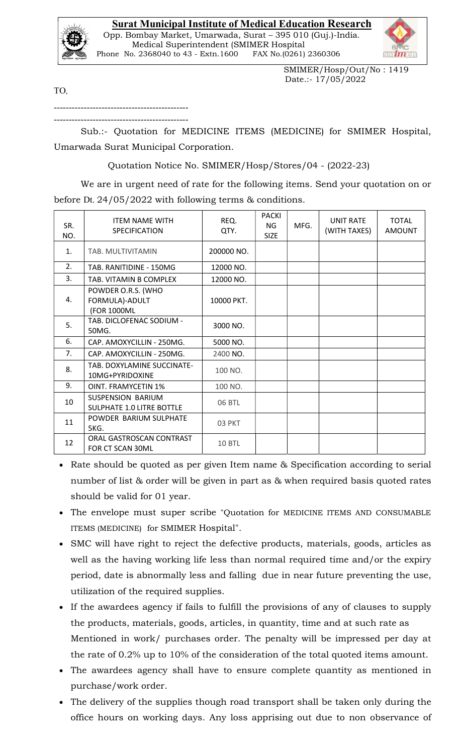## Surat Municipal Institute of Medical Education Research



 Opp. Bombay Market, Umarwada, Surat – 395 010 (Guj.)-India. Medical Superintendent (SMIMER Hospital Phone No. 2368040 to 43 - Extn.1600 FAX No.(0261) 2360306



 SMIMER/Hosp/Out/No : 1419 Date.:- 17/05/2022

TO,

--------------------------------------------- ---------------------------------------------

Sub.:- Quotation for MEDICINE ITEMS (MEDICINE) for SMIMER Hospital, Umarwada Surat Municipal Corporation.

Quotation Notice No. SMIMER/Hosp/Stores/04 - (2022-23)

 We are in urgent need of rate for the following items. Send your quotation on or before Dt. 24/05/2022 with following terms & conditions.

| SR.<br>NO.     | <b>ITEM NAME WITH</b><br>SPECIFICATION                | REQ.<br>QTY.  | <b>PACKI</b><br>NG<br><b>SIZE</b> | MFG. | <b>UNIT RATE</b><br>(WITH TAXES) | <b>TOTAL</b><br><b>AMOUNT</b> |
|----------------|-------------------------------------------------------|---------------|-----------------------------------|------|----------------------------------|-------------------------------|
| $\mathbf{1}$ . | TAB. MULTIVITAMIN                                     | 200000 NO.    |                                   |      |                                  |                               |
| 2.             | TAB. RANITIDINE - 150MG                               | 12000 NO.     |                                   |      |                                  |                               |
| 3.             | TAB. VITAMIN B COMPLEX                                | 12000 NO.     |                                   |      |                                  |                               |
| 4.             | POWDER O.R.S. (WHO<br>FORMULA)-ADULT<br>(FOR 1000ML   | 10000 PKT.    |                                   |      |                                  |                               |
| 5.             | TAB. DICLOFENAC SODIUM -<br>50MG.                     | 3000 NO.      |                                   |      |                                  |                               |
| 6.             | CAP. AMOXYCILLIN - 250MG.                             | 5000 NO.      |                                   |      |                                  |                               |
| 7.             | CAP. AMOXYCILLIN - 250MG.                             | 2400 NO.      |                                   |      |                                  |                               |
| 8.             | TAB. DOXYLAMINE SUCCINATE-<br>10MG+PYRIDOXINE         | 100 NO.       |                                   |      |                                  |                               |
| 9.             | <b>OINT. FRAMYCETIN 1%</b>                            | 100 NO.       |                                   |      |                                  |                               |
| 10             | SUSPENSION BARIUM<br><b>SULPHATE 1.0 LITRE BOTTLE</b> | 06 BTL        |                                   |      |                                  |                               |
| 11             | POWDER BARIUM SULPHATE<br>5KG.                        | 03 PKT        |                                   |      |                                  |                               |
| 12             | ORAL GASTROSCAN CONTRAST<br>FOR CT SCAN 30ML          | <b>10 BTL</b> |                                   |      |                                  |                               |

- Rate should be quoted as per given Item name & Specification according to serial number of list & order will be given in part as & when required basis quoted rates should be valid for 01 year.
- The envelope must super scribe "Quotation for MEDICINE ITEMS AND CONSUMABLE ITEMS (MEDICINE) for SMIMER Hospital".
- SMC will have right to reject the defective products, materials, goods, articles as well as the having working life less than normal required time and/or the expiry period, date is abnormally less and falling due in near future preventing the use, utilization of the required supplies.
- If the awardees agency if fails to fulfill the provisions of any of clauses to supply the products, materials, goods, articles, in quantity, time and at such rate as Mentioned in work/ purchases order. The penalty will be impressed per day at the rate of 0.2% up to 10% of the consideration of the total quoted items amount.
- The awardees agency shall have to ensure complete quantity as mentioned in purchase/work order.
- The delivery of the supplies though road transport shall be taken only during the office hours on working days. Any loss apprising out due to non observance of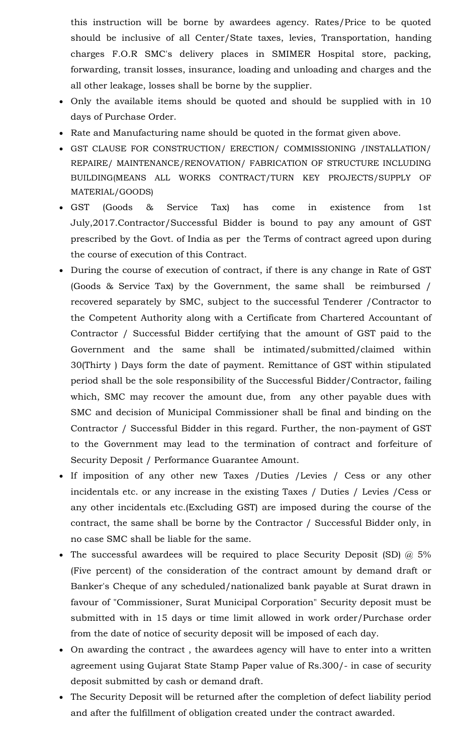this instruction will be borne by awardees agency. Rates/Price to be quoted should be inclusive of all Center/State taxes, levies, Transportation, handing charges F.O.R SMC's delivery places in SMIMER Hospital store, packing, forwarding, transit losses, insurance, loading and unloading and charges and the all other leakage, losses shall be borne by the supplier.

- Only the available items should be quoted and should be supplied with in 10 days of Purchase Order.
- Rate and Manufacturing name should be quoted in the format given above.
- GST CLAUSE FOR CONSTRUCTION/ ERECTION/ COMMISSIONING /INSTALLATION/ REPAIRE/ MAINTENANCE/RENOVATION/ FABRICATION OF STRUCTURE INCLUDING BUILDING(MEANS ALL WORKS CONTRACT/TURN KEY PROJECTS/SUPPLY OF MATERIAL/GOODS)
- GST (Goods & Service Tax) has come in existence from 1st July,2017.Contractor/Successful Bidder is bound to pay any amount of GST prescribed by the Govt. of India as per the Terms of contract agreed upon during the course of execution of this Contract.
- During the course of execution of contract, if there is any change in Rate of GST (Goods & Service Tax) by the Government, the same shall be reimbursed / recovered separately by SMC, subject to the successful Tenderer /Contractor to the Competent Authority along with a Certificate from Chartered Accountant of Contractor / Successful Bidder certifying that the amount of GST paid to the Government and the same shall be intimated/submitted/claimed within 30(Thirty ) Days form the date of payment. Remittance of GST within stipulated period shall be the sole responsibility of the Successful Bidder/Contractor, failing which, SMC may recover the amount due, from any other payable dues with SMC and decision of Municipal Commissioner shall be final and binding on the Contractor / Successful Bidder in this regard. Further, the non-payment of GST to the Government may lead to the termination of contract and forfeiture of Security Deposit / Performance Guarantee Amount.
- If imposition of any other new Taxes /Duties /Levies / Cess or any other incidentals etc. or any increase in the existing Taxes / Duties / Levies /Cess or any other incidentals etc.(Excluding GST) are imposed during the course of the contract, the same shall be borne by the Contractor / Successful Bidder only, in no case SMC shall be liable for the same.
- The successful awardees will be required to place Security Deposit (SD)  $\omega$  5% (Five percent) of the consideration of the contract amount by demand draft or Banker's Cheque of any scheduled/nationalized bank payable at Surat drawn in favour of "Commissioner, Surat Municipal Corporation" Security deposit must be submitted with in 15 days or time limit allowed in work order/Purchase order from the date of notice of security deposit will be imposed of each day.
- On awarding the contract , the awardees agency will have to enter into a written agreement using Gujarat State Stamp Paper value of Rs.300/- in case of security deposit submitted by cash or demand draft.
- The Security Deposit will be returned after the completion of defect liability period and after the fulfillment of obligation created under the contract awarded.